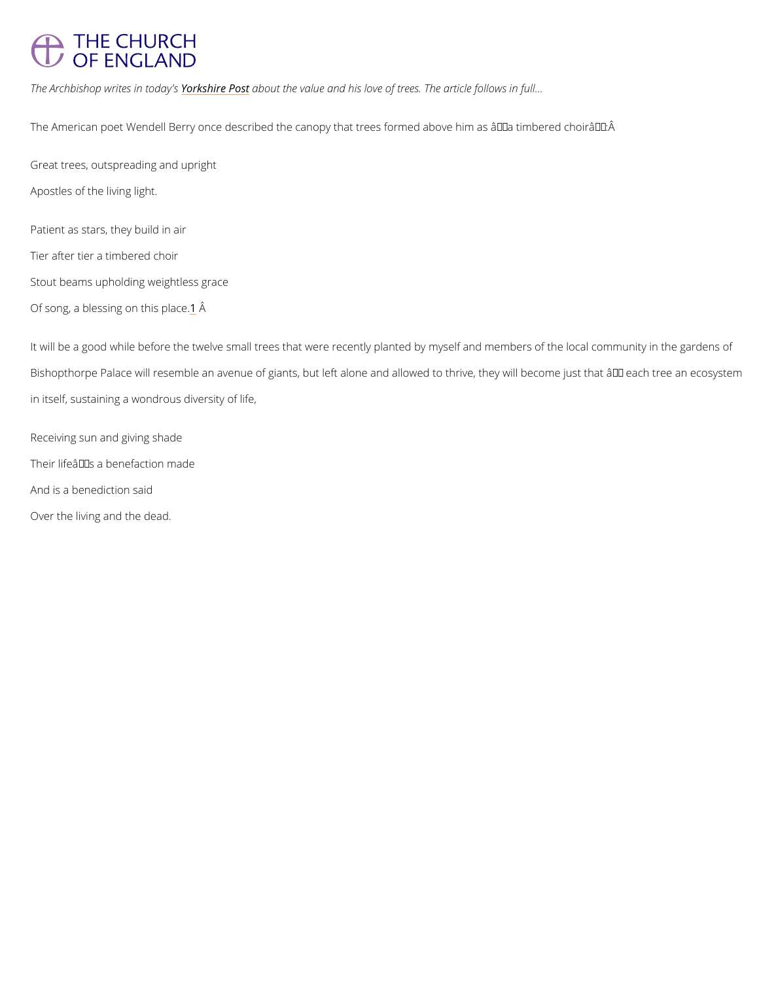## <span id="page-0-0"></span>THE CHURCH OF ENGLAND

The Archbishop writes in thic de an possuit the value and his love of trees. The article follows in full

The American poet Wendell Berry once described the canopy that trees formed above him as

Patient as stars, they build in air Tier after tier a timbered choir Stout beams upholding weightless grace Of s[o](#page-2-0)ng, a blessing dnÂthis place.

Great trees, outspreading and upright Apostles of the living light.

It will be a good while before the twelve small trees that were recently planted by myself and Bishopthorpe Palace will resemble an avenue of giants, but left alone and allowed to thrive, in itself, sustaining a wondrous diversity of life,

Receiving sun and giving shade Their life $a \in \mathbb{M}$  s a benefaction made And is a benediction said Over the living and the dead.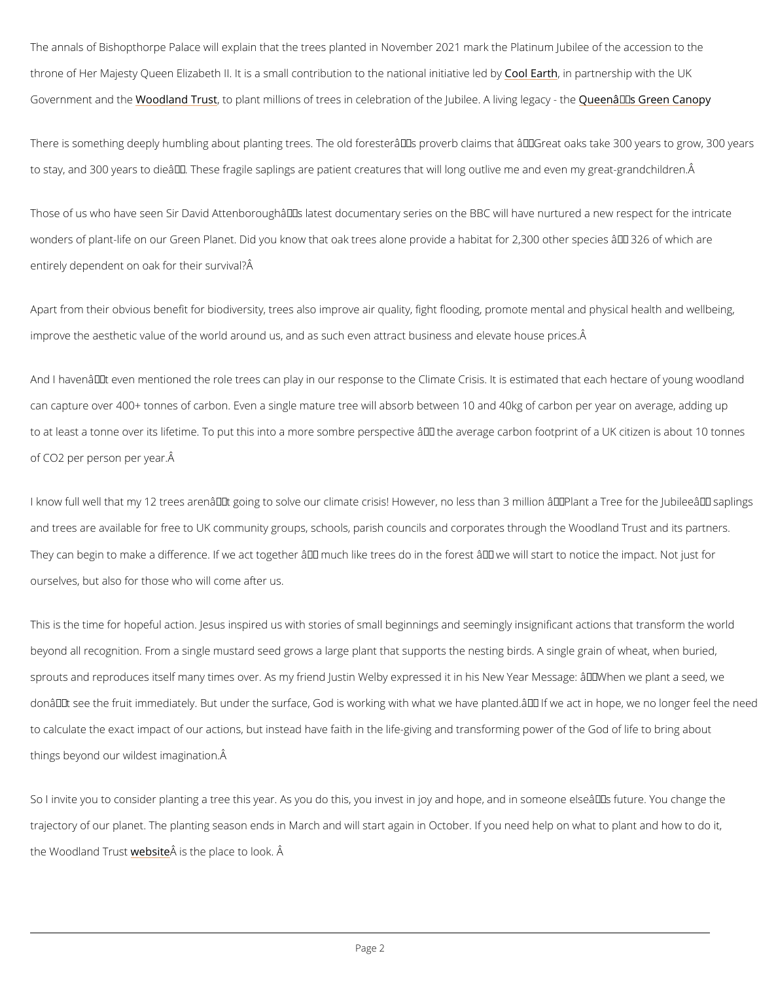The annals of Bishopthorpe Palace will explain that the trees planted in November 2021 mark throne of Her Majesty Queen Elizabeth II. It is a small contri<code>CooloE</code>atroithithpearnt nationship invarithath weel Government an Woodlobleand Trtuostplant millions of trees in celebration of the Lubueton as EGET<sup>M</sup> sA Ginveiong Coegna

There is something deeply humbling about planting trees. The old foresterâ $\epsilon \tau$ Ms proverb clair to stay, and 300 years to dieâ $\epsilon^{tm}$ . These fragile saplings are patient creatures that will long

Those of us who have seen Sir David Attenboroughâ $\epsilon$ ™s latest documentary series on the BB wonders of plant-life on our Green Planet. Did you know that oak trees alone provide a habit entirely dependent on oak for their survival?

Apart from their obvious benefit for biodiversity, trees also improve air quality, fight floodin improve the aesthetic value of the world around us, and as such even attract business and e

And I haven $\hat{a} \in \mathbb{I}^M$ t even mentioned the role trees can play in our response to the Climate Crisi can capture over 400+ tonnes of carbon. Even a single mature tree will absorb between 10 and to at least a tonne over its lifetime. To put this into a more sombre perspective â $\epsilon$  the aver of CO2 per person per year.

I know full well that my 12 trees aren't going to solve our climate crisis! However, no les and trees are available for free to UK community groups, schools, parish councils and corpor They can begin to make a difference. If we act together  $\hat{a} \in T$  much like trees do in the forest ourselves, but also for those who will come after us.

This is the time for hopeful action. Jesus inspired us with stories of small beginnings and se beyond all recognition. From a single mustard seed grows a large plant that supports the nes sprouts and reproduces itself many times over. As my friend Justin Welby expressed it in his don't see the fruit immediately. But under the surface, God is working with what we have

to calculate the exact impact of our actions, but instead have faith in the life-giving and trai

things beyond our wildest imagination.

So I invite you to consider planting a tree this year. As you do this, you invest in joy and ho

trajectory of our planet. The planting season ends in March and will start again in October. I the Woodland  $\Phi$  buss<sup> $\hat{A}$ </sup> eis the place to look.  $\hat{A}$